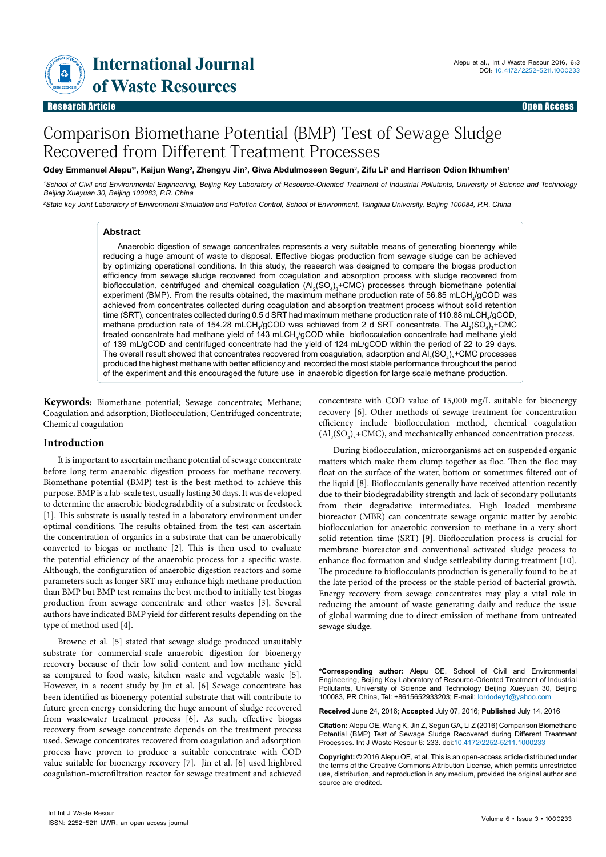**Example 12 International Journal**<br>of Waste Resources

# Comparison Biomethane Potential (BMP) Test of Sewage Sludge Recovered from Different Treatment Processes

#### Odey Emmanuel Alepu'', Kaijun Wang<sup>2</sup>, Zhengyu Jin<sup>2</sup>, Giwa Abdulmoseen Segun<sup>2</sup>, Zifu Li' and Harrison Odion Ikhumhen<sup>1</sup>

<sup>1</sup>School of Civil and Environmental Engineering, Beijing Key Laboratory of Resource-Oriented Treatment of Industrial Pollutants, University of Science and Technology Beijing Xueyuan 30, Beijing 100083, P.R. China

2State key Joint Laboratory of Environment Simulation and Pollution Control, School of Environment, Tsinghua University, Beijing 100084, P.R. China

#### **Abstract**

Anaerobic digestion of sewage concentrates represents a very suitable means of generating bioenergy while reducing a huge amount of waste to disposal. Effective biogas production from sewage sludge can be achieved by optimizing operational conditions. In this study, the research was designed to compare the biogas production efficiency from sewage sludge recovered from coagulation and absorption process with sludge recovered from bioflocculation, centrifuged and chemical coagulation  $(A_2(SQ_4)_3 + CMC)$  processes through biomethane potential experiment (BMP). From the results obtained, the maximum methane production rate of 56.85 mLCH $_4$ /gCOD was achieved from concentrates collected during coagulation and absorption treatment process without solid retention time (SRT), concentrates collected during 0.5 d SRT had maximum methane production rate of 110.88 mLCH $_{\rm 4}/$ gCOD, methane production rate of 154.28 mLCH<sub>4</sub>/gCOD was achieved from 2 d SRT concentrate. The Al<sub>2</sub>(SO<sub>4</sub>)<sub>3</sub>+CMC treated concentrate had methane yield of 143 mLCH<sub>4</sub>/gCOD while bioflocculation concentrate had methane yield of 139 mL/gCOD and centrifuged concentrate had the yield of 124 mL/gCOD within the period of 22 to 29 days. The overall result showed that concentrates recovered from coagulation, adsorption and  $\mathsf{Al}_2(\mathsf{SO}_4)_3\text{-}\mathsf{CMC}$  processes produced the highest methane with better efficiency and recorded the most stable performance throughout the period of the experiment and this encouraged the future use in anaerobic digestion for large scale methane production.

**Keywords:** Biomethane potential; Sewage concentrate; Methane; Coagulation and adsorption; Bioflocculation; Centrifuged concentrate; Chemical coagulation

#### **Introduction**

It is important to ascertain methane potential of sewage concentrate before long term anaerobic digestion process for methane recovery. Biomethane potential (BMP) test is the best method to achieve this purpose. BMP is a lab-scale test, usually lasting 30 days. It was developed to determine the anaerobic biodegradability of a substrate or feedstock [1]. This substrate is usually tested in a laboratory environment under optimal conditions. The results obtained from the test can ascertain the concentration of organics in a substrate that can be anaerobically converted to biogas or methane [2]. This is then used to evaluate the potential efficiency of the anaerobic process for a specific waste. Although, the configuration of anaerobic digestion reactors and some parameters such as longer SRT may enhance high methane production than BMP but BMP test remains the best method to initially test biogas production from sewage concentrate and other wastes [3]. Several authors have indicated BMP yield for different results depending on the type of method used [4].

Browne et al. [5] stated that sewage sludge produced unsuitably substrate for commercial-scale anaerobic digestion for bioenergy recovery because of their low solid content and low methane yield as compared to food waste, kitchen waste and vegetable waste [5]. However, in a recent study by Jin et al. [6] Sewage concentrate has been identified as bioenergy potential substrate that will contribute to future green energy considering the huge amount of sludge recovered from wastewater treatment process [6]. As such, effective biogas recovery from sewage concentrate depends on the treatment process used. Sewage concentrates recovered from coagulation and adsorption process have proven to produce a suitable concentrate with COD value suitable for bioenergy recovery [7]. Jin et al. [6] used highbred coagulation-microfiltration reactor for sewage treatment and achieved

concentrate with COD value of 15,000 mg/L suitable for bioenergy recovery [6]. Other methods of sewage treatment for concentration efficiency include bioflocculation method, chemical coagulation  $(Al_2SO_4)_3 + CMC$ ), and mechanically enhanced concentration process.

During bioflocculation, microorganisms act on suspended organic matters which make them clump together as floc. Then the floc may float on the surface of the water, bottom or sometimes filtered out of the liquid [8]. Bioflocculants generally have received attention recently due to their biodegradability strength and lack of secondary pollutants from their degradative intermediates. High loaded membrane bioreactor (MBR) can concentrate sewage organic matter by aerobic bioflocculation for anaerobic conversion to methane in a very short solid retention time (SRT) [9]. Bioflocculation process is crucial for membrane bioreactor and conventional activated sludge process to enhance floc formation and sludge settleability during treatment [10]. The procedure to bioflocculants production is generally found to be at the late period of the process or the stable period of bacterial growth. Energy recovery from sewage concentrates may play a vital role in reducing the amount of waste generating daily and reduce the issue of global warming due to direct emission of methane from untreated sewage sludge.

**\*Corresponding author:** Alepu OE, School of Civil and Environmental Engineering, Beijing Key Laboratory of Resource-Oriented Treatment of Industrial Pollutants, University of Science and Technology Beijing Xueyuan 30, Beijing 100083, PR China, Tel: +8615652933203; E-mail: lordodey1@yahoo.com

**Received** June 24, 2016; **Accepted** July 07, 2016; **Published** July 14, 2016

**Citation:** Alepu OE, Wang K, Jin Z, Segun GA, Li Z (2016) Comparison Biomethane Potential (BMP) Test of Sewage Sludge Recovered during Different Treatment Processes. Int J Waste Resour 6: 233. doi:10.4172/2252-5211.1000233

**Copyright:** © 2016 Alepu OE, et al. This is an open-access article distributed under the terms of the Creative Commons Attribution License, which permits unrestricted use, distribution, and reproduction in any medium, provided the original author and source are credited.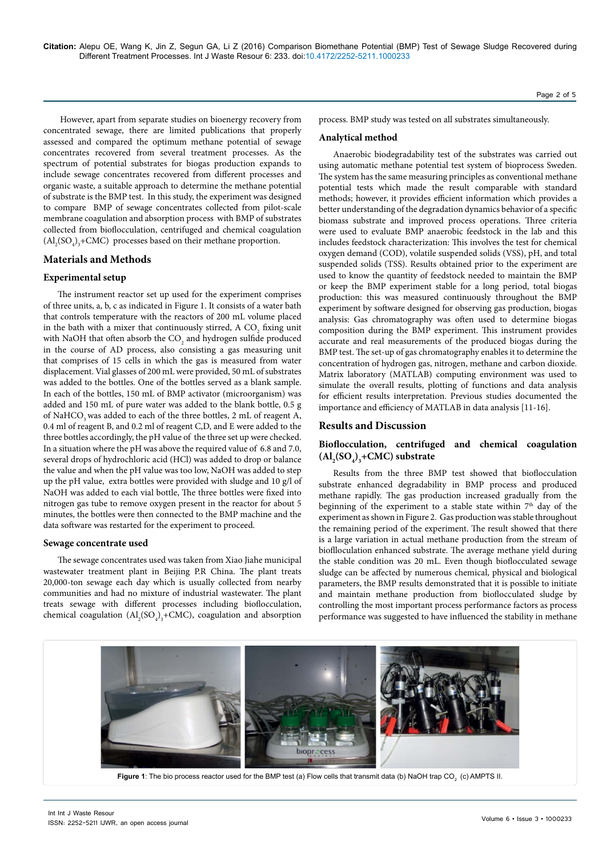However, apart from separate studies on bioenergy recovery from concentrated sewage, there are limited publications that properly assessed and compared the optimum methane potential of sewage concentrates recovered from several treatment processes. As the spectrum of potential substrates for biogas production expands to include sewage concentrates recovered from different processes and organic waste, a suitable approach to determine the methane potential of substrate is the BMP test. In this study, the experiment was designed to compare BMP of sewage concentrates collected from pilot-scale membrane coagulation and absorption process with BMP of substrates collected from bioflocculation, centrifuged and chemical coagulation  $\text{(Al}_2\text{(SO}_4)\text{,}+\text{CMC)}$  processes based on their methane proportion.

#### **Materials and Methods**

#### **Experimental setup**

The instrument reactor set up used for the experiment comprises of three units, a, b, c as indicated in Figure 1. It consists of a water bath that controls temperature with the reactors of 200 mL volume placed in the bath with a mixer that continuously stirred, A  $\mathrm{CO}_2$  fixing unit with NaOH that often absorb the  $\mathrm{CO}_2$  and hydrogen sulfide produced in the course of AD process, also consisting a gas measuring unit that comprises of 15 cells in which the gas is measured from water displacement. Vial glasses of 200 mL were provided, 50 mL of substrates was added to the bottles. One of the bottles served as a blank sample. In each of the bottles, 150 mL of BMP activator (microorganism) was added and 150 mL of pure water was added to the blank bottle, 0.5 g of NaHCO<sub>3</sub> was added to each of the three bottles, 2 mL of reagent A, 0.4 ml of reagent B, and 0.2 ml of reagent C,D, and E were added to the three bottles accordingly, the pH value of the three set up were checked. In a situation where the pH was above the required value of 6.8 and 7.0, several drops of hydrochloric acid (HCl) was added to drop or balance the value and when the pH value was too low, NaOH was added to step up the pH value, extra bottles were provided with sludge and 10 g/l of NaOH was added to each vial bottle, The three bottles were fixed into nitrogen gas tube to remove oxygen present in the reactor for about 5 minutes, the bottles were then connected to the BMP machine and the data software was restarted for the experiment to proceed.

#### **Sewage concentrate used**

The sewage concentrates used was taken from Xiao Jiahe municipal wastewater treatment plant in Beijing P.R China. The plant treats 20,000-ton sewage each day which is usually collected from nearby communities and had no mixture of industrial wastewater. The plant treats sewage with different processes including bioflocculation, chemical coagulation  $(Al_2(SO_4)_3 + CMC)$ , coagulation and absorption Page 2 of 5

process. BMP study was tested on all substrates simultaneously.

#### **Analytical method**

Anaerobic biodegradability test of the substrates was carried out using automatic methane potential test system of bioprocess Sweden. The system has the same measuring principles as conventional methane potential tests which made the result comparable with standard methods; however, it provides efficient information which provides a better understanding of the degradation dynamics behavior of a specific biomass substrate and improved process operations. Three criteria were used to evaluate BMP anaerobic feedstock in the lab and this includes feedstock characterization: This involves the test for chemical oxygen demand (COD), volatile suspended solids (VSS), pH, and total suspended solids (TSS). Results obtained prior to the experiment are used to know the quantity of feedstock needed to maintain the BMP or keep the BMP experiment stable for a long period, total biogas production: this was measured continuously throughout the BMP experiment by software designed for observing gas production, biogas analysis: Gas chromatography was often used to determine biogas composition during the BMP experiment. This instrument provides accurate and real measurements of the produced biogas during the BMP test. The set-up of gas chromatography enables it to determine the concentration of hydrogen gas, nitrogen, methane and carbon dioxide. Matrix laboratory (MATLAB) computing environment was used to simulate the overall results, plotting of functions and data analysis for efficient results interpretation. Previous studies documented the importance and efficiency of MATLAB in data analysis [11-16].

#### **Results and Discussion**

## **Bioflocculation, centrifuged and chemical coagulation**   $(Al_2(SO_4)_3 + CMC)$  substrate

Results from the three BMP test showed that bioflocculation substrate enhanced degradability in BMP process and produced methane rapidly. The gas production increased gradually from the beginning of the experiment to a stable state within  $7<sup>th</sup>$  day of the experiment as shown in Figure 2. Gas production was stable throughout the remaining period of the experiment. The result showed that there is a large variation in actual methane production from the stream of bioflloculation enhanced substrate. The average methane yield during the stable condition was 20 mL. Even though bioflocculated sewage sludge can be affected by numerous chemical, physical and biological parameters, the BMP results demonstrated that it is possible to initiate and maintain methane production from bioflocculated sludge by controlling the most important process performance factors as process performance was suggested to have influenced the stability in methane



Int Int J Waste Resour ISSN: 2252-5211 IJWR, an open access journal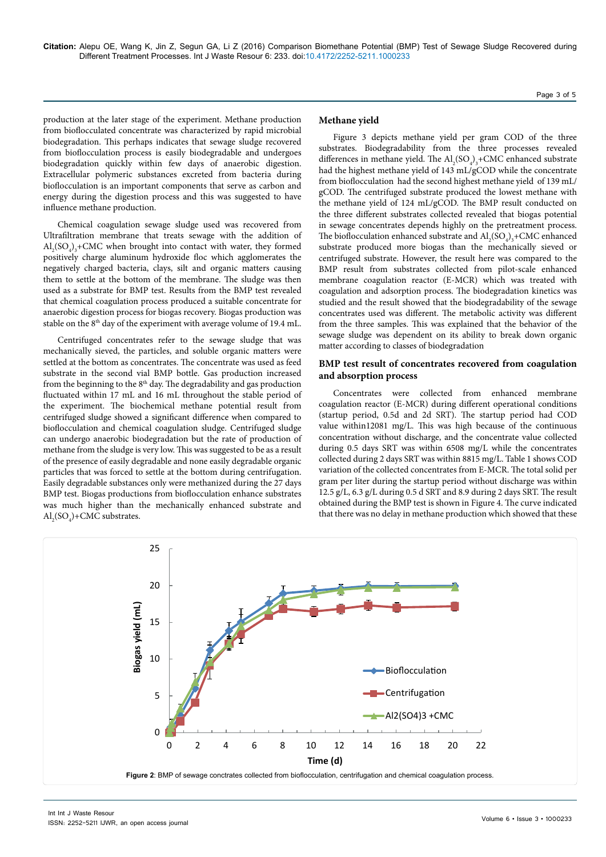production at the later stage of the experiment. Methane production from bioflocculated concentrate was characterized by rapid microbial biodegradation. This perhaps indicates that sewage sludge recovered from bioflocculation process is easily biodegradable and undergoes biodegradation quickly within few days of anaerobic digestion. Extracellular polymeric substances excreted from bacteria during bioflocculation is an important components that serve as carbon and energy during the digestion process and this was suggested to have influence methane production.

Chemical coagulation sewage sludge used was recovered from Ultrafiltration membrane that treats sewage with the addition of  $\text{Al}_2(\text{SO}_4)$ <sub>3</sub>+CMC when brought into contact with water, they formed positively charge aluminum hydroxide floc which agglomerates the negatively charged bacteria, clays, silt and organic matters causing them to settle at the bottom of the membrane. The sludge was then used as a substrate for BMP test. Results from the BMP test revealed that chemical coagulation process produced a suitable concentrate for anaerobic digestion process for biogas recovery. Biogas production was stable on the 8<sup>th</sup> day of the experiment with average volume of 19.4 mL.

Centrifuged concentrates refer to the sewage sludge that was mechanically sieved, the particles, and soluble organic matters were settled at the bottom as concentrates. The concentrate was used as feed substrate in the second vial BMP bottle. Gas production increased from the beginning to the  $8<sup>th</sup>$  day. The degradability and gas production fluctuated within 17 mL and 16 mL throughout the stable period of the experiment. The biochemical methane potential result from centrifuged sludge showed a significant difference when compared to bioflocculation and chemical coagulation sludge. Centrifuged sludge can undergo anaerobic biodegradation but the rate of production of methane from the sludge is very low. This was suggested to be as a result of the presence of easily degradable and none easily degradable organic particles that was forced to settle at the bottom during centrifugation. Easily degradable substances only were methanized during the 27 days BMP test. Biogas productions from bioflocculation enhance substrates was much higher than the mechanically enhanced substrate and  $\mathrm{Al}_{2}(\mathrm{SO}_{4})$ +CMC substrates.

#### **Methane yield**

Figure 3 depicts methane yield per gram COD of the three substrates. Biodegradability from the three processes revealed differences in methane yield. The  $\text{Al}_2(\text{SO}_4)_3 + \text{CMC}$  enhanced substrate had the highest methane yield of 143 mL/gCOD while the concentrate from bioflocculation had the second highest methane yield of 139 mL/ gCOD. The centrifuged substrate produced the lowest methane with the methane yield of 124 mL/gCOD. The BMP result conducted on the three different substrates collected revealed that biogas potential in sewage concentrates depends highly on the pretreatment process. The bioflocculation enhanced substrate and  $\text{Al}_2(\text{SO}_4)_3 + \text{CMC}$  enhanced substrate produced more biogas than the mechanically sieved or centrifuged substrate. However, the result here was compared to the BMP result from substrates collected from pilot-scale enhanced membrane coagulation reactor (E-MCR) which was treated with coagulation and adsorption process. The biodegradation kinetics was studied and the result showed that the biodegradability of the sewage concentrates used was different. The metabolic activity was different from the three samples. This was explained that the behavior of the sewage sludge was dependent on its ability to break down organic matter according to classes of biodegradation

### **BMP test result of concentrates recovered from coagulation and absorption process**

Concentrates were collected from enhanced membrane coagulation reactor (E-MCR) during different operational conditions (startup period, 0.5d and 2d SRT). The startup period had COD value within12081 mg/L. This was high because of the continuous concentration without discharge, and the concentrate value collected during 0.5 days SRT was within 6508 mg/L while the concentrates collected during 2 days SRT was within 8815 mg/L. Table 1 shows COD variation of the collected concentrates from E-MCR. The total solid per gram per liter during the startup period without discharge was within 12.5 g/L, 6.3 g/L during 0.5 d SRT and 8.9 during 2 days SRT. The result obtained during the BMP test is shown in Figure 4. The curve indicated that there was no delay in methane production which showed that these

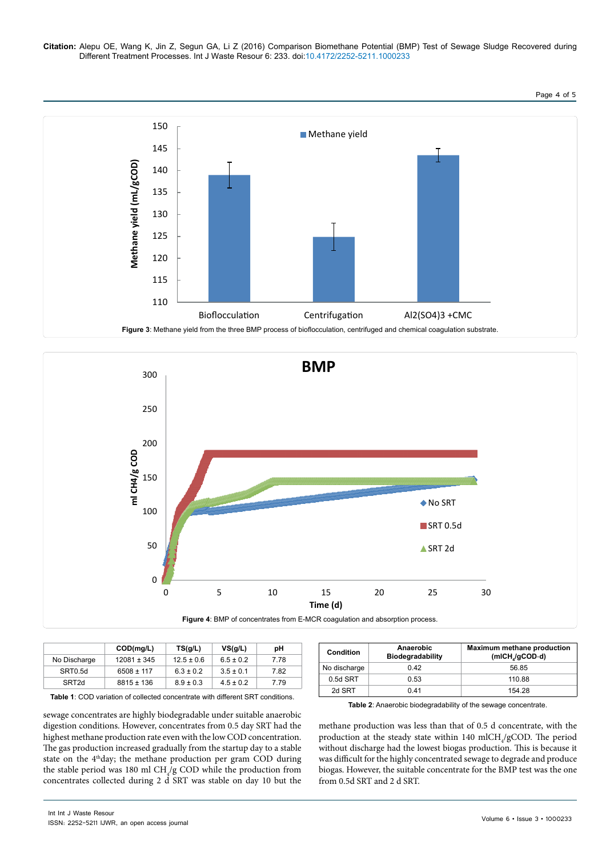**Citation:** Alepu OE, Wang K, Jin Z, Segun GA, Li Z (2016) Comparison Biomethane Potential (BMP) Test of Sewage Sludge Recovered during Different Treatment Processes. Int J Waste Resour 6: 233. doi:10.4172/2252-5211.1000233

Page 4 of 5





|                   | COD(mg/L)       | TS(g/L)        | VS <sub>q</sub> /L | рH   |
|-------------------|-----------------|----------------|--------------------|------|
| No Discharge      | $12081 \pm 345$ | $12.5 \pm 0.6$ | $6.5 \pm 0.2$      | 7.78 |
| SRT0.5d           | $6508 \pm 117$  | $6.3 \pm 0.2$  | $3.5 \pm 0.1$      | 7.82 |
| SRT <sub>2d</sub> | $8815 \pm 136$  | $8.9 \pm 0.3$  | $4.5 \pm 0.2$      | 7.79 |

| <b>Table 1:</b> COD variation of collected concentrate with different SRT conditions. |  |
|---------------------------------------------------------------------------------------|--|
|---------------------------------------------------------------------------------------|--|

sewage concentrates are highly biodegradable under suitable anaerobic digestion conditions. However, concentrates from 0.5 day SRT had the highest methane production rate even with the low COD concentration. The gas production increased gradually from the startup day to a stable state on the 4<sup>th</sup>day; the methane production per gram COD during the stable period was 180 ml  $\text{CH}_4/\text{g}$  COD while the production from concentrates collected during 2 d SRT was stable on day 10 but the

| Condition    | Anaerobic<br><b>Biodegradability</b> | Maximum methane production<br>$(mICH/gCOD-d)$ |
|--------------|--------------------------------------|-----------------------------------------------|
| No discharge | 0.42                                 | 56.85                                         |
| $0.5d$ SRT   | 0.53                                 | 110.88                                        |
| 2d SRT       | 041                                  | 154.28                                        |

**Table 2**: Anaerobic biodegradability of the sewage concentrate.

methane production was less than that of 0.5 d concentrate, with the production at the steady state within  $140 \text{ mICH}_4/\text{gCOD}$ . The period without discharge had the lowest biogas production. This is because it was difficult for the highly concentrated sewage to degrade and produce biogas. However, the suitable concentrate for the BMP test was the one from 0.5d SRT and 2 d SRT.